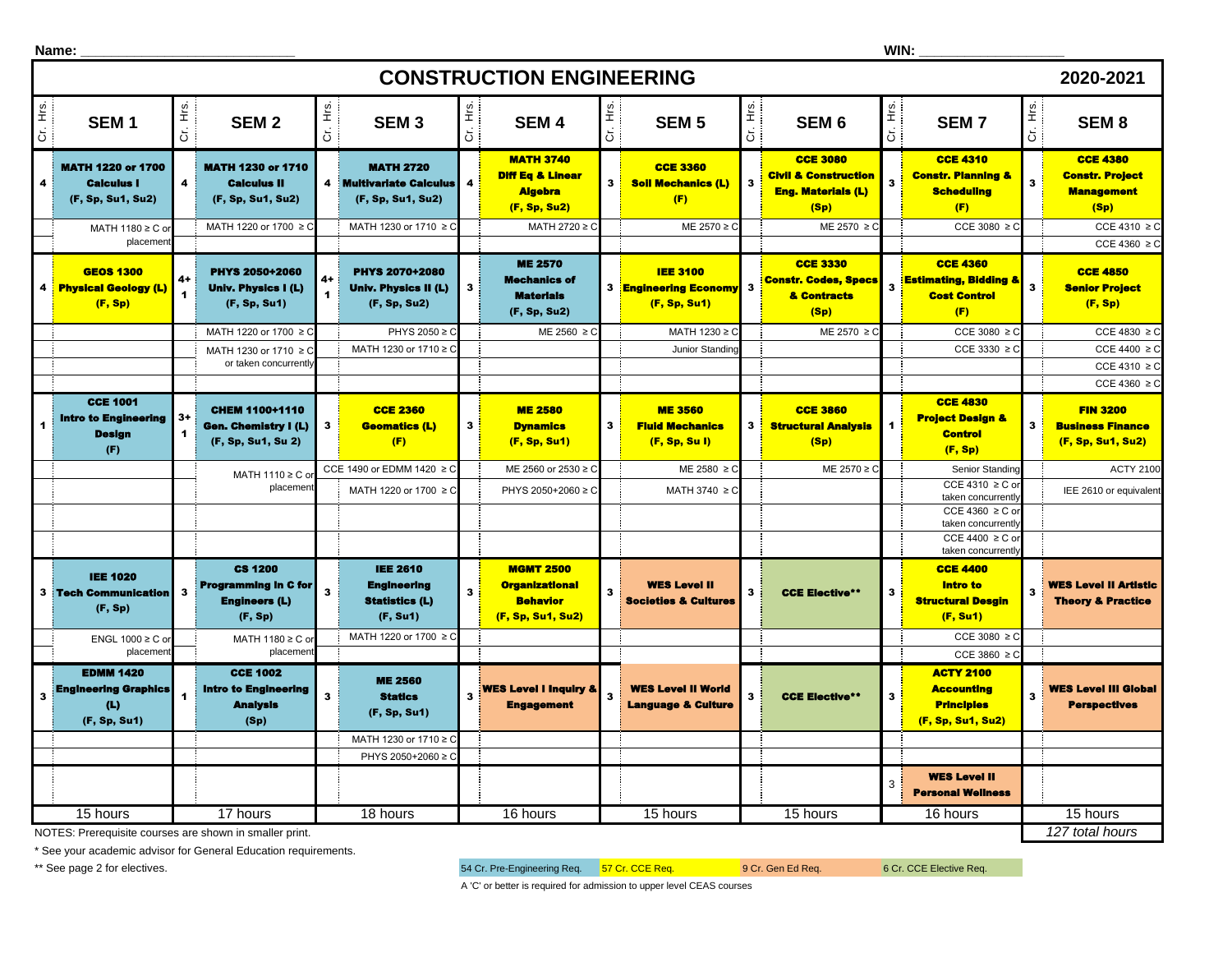|                                                                                  | Name:                                                                      |                                 |                                                                           |                            |                                                                            |              |                                                                                   |                      |                                                                 |                         |                                                                                         | WIN:                    |                                                                                 |                         |                                                                          |
|----------------------------------------------------------------------------------|----------------------------------------------------------------------------|---------------------------------|---------------------------------------------------------------------------|----------------------------|----------------------------------------------------------------------------|--------------|-----------------------------------------------------------------------------------|----------------------|-----------------------------------------------------------------|-------------------------|-----------------------------------------------------------------------------------------|-------------------------|---------------------------------------------------------------------------------|-------------------------|--------------------------------------------------------------------------|
|                                                                                  | <b>CONSTRUCTION ENGINEERING</b><br>2020-2021                               |                                 |                                                                           |                            |                                                                            |              |                                                                                   |                      |                                                                 |                         |                                                                                         |                         |                                                                                 |                         |                                                                          |
| Cr. Hrs.                                                                         | SEM <sub>1</sub>                                                           | $\frac{6}{5}$<br>$\overline{C}$ | SEM <sub>2</sub>                                                          | Ε.<br>Ε<br>$\ddot{\sigma}$ | SEM <sub>3</sub>                                                           | 上<br>こ       | <b>SEM4</b>                                                                       | 主:<br>$\overline{5}$ | SEM <sub>5</sub>                                                | Cr. Hrs.                | SEM <sub>6</sub>                                                                        | Ηs.<br>$\overline{5}$   | <b>SEM7</b>                                                                     | lis.<br>G               | SEM <sub>8</sub>                                                         |
| 4                                                                                | <b>MATH 1220 or 1700</b><br><b>Calculus I</b><br>(F, Sp, Su1, Su2)         | $\overline{\mathbf{4}}$         | <b>MATH 1230 or 1710</b><br><b>Calculus II</b><br>(F, Sp, Su1, Su2)       |                            | <b>MATH 2720</b><br>4 Multivariate Calculus<br>(F, Sp, Su1, Su2)           | 4            | <b>MATH 3740</b><br><b>Diff Eq &amp; Linear</b><br><b>Algebra</b><br>(F, Sp, Su2) | $\mathbf{3}$         | <b>CCE 3360</b><br><b>Soll Mechanics (L)</b><br>(F)             | $\overline{\mathbf{3}}$ | <b>CCE 3080</b><br><b>Civil &amp; Construction</b><br><b>Eng. Materials (L)</b><br>(Sp) | 3                       | <b>CCE 4310</b><br><b>Constr. Planning &amp;</b><br><b>Scheduling</b><br>(F)    | $\overline{\mathbf{3}}$ | <b>CCE 4380</b><br><b>Constr. Project</b><br><b>Management</b><br>(Sp)   |
|                                                                                  | MATH 1180 ≥ C o                                                            |                                 | MATH 1220 or 1700 ≥ C                                                     |                            | MATH 1230 or 1710 ≥ C                                                      |              | MATH 2720 ≥ C                                                                     |                      | ME 2570 ≥ C                                                     |                         | ME 2570 ≥ 0                                                                             |                         | CCE 3080 $\geq$ C                                                               |                         | CCE 4310 $\geq$ C                                                        |
|                                                                                  | placement<br><b>GEOS 1300</b><br><b>Physical Geology (L)</b><br>(F, Sp)    | $4+$<br>$\blacksquare$          | PHYS 2050+2060<br>Univ. Physics I (L)<br>(F, Sp, Su1)                     |                            | <b>PHYS 2070+2080</b><br>Univ. Physics II (L)<br>(F, Sp, Su2)              | $\mathbf{3}$ | <b>ME 2570</b><br><b>Mechanics of</b><br><b>Materials</b>                         |                      | <b>IEE 3100</b><br><b>3 Engineering Economy</b><br>(F, Sp, Su1) | $\overline{\mathbf{3}}$ | <b>CCE 3330</b><br><b>Constr. Codes, Specs</b><br>& Contracts                           | $\overline{\mathbf{3}}$ | <b>CCE 4360</b><br><b>Estimating, Bidding &amp;</b><br><b>Cost Control</b>      | $\overline{\mathbf{3}}$ | CCE 4360 $\geq$ C<br><b>CCE 4850</b><br><b>Senior Project</b><br>(F, Sp) |
|                                                                                  |                                                                            |                                 |                                                                           |                            | PHYS 2050 ≥ 0                                                              |              | (F, Sp, Su2)                                                                      |                      |                                                                 |                         | (Sp)                                                                                    |                         | (F)<br>CCE 3080 $\geq$ 0                                                        |                         | CCE 4830 $\geq$ C                                                        |
|                                                                                  |                                                                            |                                 | MATH 1220 or 1700 ≥ C<br>MATH 1230 or 1710 ≥ 0                            |                            | MATH 1230 or 1710 ≥ 0                                                      |              | $ME 2560 \ge C$                                                                   |                      | MATH 1230 ≥ C<br>Junior Standino                                |                         | ME 2570 ≥ 0                                                                             |                         | CCE 3330 $\geq$ 0                                                               |                         | CCE 4400 $\geq$ C                                                        |
|                                                                                  |                                                                            |                                 | or taken concurrently                                                     |                            |                                                                            |              |                                                                                   |                      |                                                                 |                         |                                                                                         |                         |                                                                                 |                         | CCE 4310 $\geq$ C                                                        |
|                                                                                  |                                                                            |                                 |                                                                           |                            |                                                                            |              |                                                                                   |                      |                                                                 |                         |                                                                                         |                         |                                                                                 |                         | CCE 4360 $\geq$ C                                                        |
|                                                                                  | <b>CCE 1001</b><br><b>Intro to Engineering</b><br><b>Design</b><br>(F)     | $3+$<br>$\blacktriangleleft$    | CHEM 1100+1110<br>Gen. Chemistry I (L)<br>(F, Sp, Su1, Su 2)              | 3                          | <b>CCE 2360</b><br><b>Geomatics (L)</b><br>(F)                             | 3            | <b>ME 2580</b><br><b>Dynamics</b><br>(F, Sp, Su1)                                 | 3 <sup>1</sup>       | <b>ME 3560</b><br><b>Fluid Mechanics</b><br>(F, Sp, Sul)        | 3                       | <b>CCE 3860</b><br><b>Structural Analysis</b><br>(Sp)                                   | 1                       | <b>CCE 4830</b><br><b>Project Design &amp;</b><br><b>Control</b><br>(F, Sp)     | $3^{\circ}$             | <b>FIN 3200</b><br><b>Business Finance</b><br>(F, Sp, Su1, Su2)          |
|                                                                                  |                                                                            |                                 | MATH 1110 ≥ C or                                                          |                            | CCE 1490 or EDMM 1420 ≥ C                                                  |              | ME 2560 or 2530 ≥ 0                                                               |                      | ME 2580 ≥ C                                                     |                         | ME 2570 ≥ 0                                                                             |                         | Senior Standing                                                                 |                         | <b>ACTY 2100</b>                                                         |
|                                                                                  |                                                                            |                                 | placemen                                                                  |                            | MATH 1220 or 1700 ≥ C                                                      |              | PHYS 2050+2060 ≥ C                                                                |                      | MATH 3740 ≥ C                                                   |                         |                                                                                         |                         | CCE 4310 $\geq$ C o<br>taken concurrently                                       |                         | IEE 2610 or equivalent                                                   |
|                                                                                  |                                                                            |                                 |                                                                           |                            |                                                                            |              |                                                                                   |                      |                                                                 |                         |                                                                                         |                         | CCE 4360 $\geq$ C o<br>taken concurrently                                       |                         |                                                                          |
|                                                                                  |                                                                            |                                 |                                                                           |                            |                                                                            |              |                                                                                   |                      |                                                                 |                         |                                                                                         |                         | CCE 4400 $\geq$ C or                                                            |                         |                                                                          |
|                                                                                  |                                                                            |                                 |                                                                           |                            |                                                                            |              |                                                                                   |                      |                                                                 |                         |                                                                                         |                         | taken concurrently<br><b>CCE 4400</b>                                           |                         |                                                                          |
|                                                                                  | <b>IEE 1020</b><br><b>3 Tech Communication</b><br>(F, Sp)                  | $\overline{\mathbf{3}}$         | <b>CS 1200</b><br><b>Programming in C for</b><br>Engineers (L)<br>(F, Sp) |                            | <b>IEE 2610</b><br><b>Engineering</b><br><b>Statistics (L)</b><br>(F, Su1) | 3            | <b>MGMT 2500</b><br><b>Organizational</b><br><b>Behavior</b><br>(F, Sp, Su1, Su2) | $\mathbf{3}$         | <b>WES Level II</b><br><b>Societies &amp; Cultures</b>          | $\overline{\mathbf{3}}$ | <b>CCE Elective**</b>                                                                   | 3                       | <b>Intro to</b><br><b>Structural Desgin</b><br>(F, Su1)                         | 3                       | <b>WES Level II Artistic</b><br><b>Theory &amp; Practice</b>             |
|                                                                                  | ENGL $1000 \ge C$ or                                                       |                                 | MATH 1180 ≥ C or                                                          |                            | MATH 1220 or 1700 ≥ 0                                                      |              |                                                                                   |                      |                                                                 |                         |                                                                                         |                         | CCE 3080 $\geq$ (                                                               |                         |                                                                          |
|                                                                                  | placemen                                                                   |                                 | placemen                                                                  |                            |                                                                            |              |                                                                                   |                      |                                                                 |                         |                                                                                         |                         | CCE 3860 $\ge$                                                                  |                         |                                                                          |
| $\overline{\mathbf{3}}$                                                          | <b>EDMM 1420</b><br><b>Engineering Graphics</b><br>(L)<br>(F, Sp, Su1)     |                                 | <b>CCE 1002</b><br><b>Intro to Engineering</b><br><b>Analysis</b><br>(Sp) | 3                          | <b>ME 2560</b><br><b>Statics</b><br>(F, Sp, Su1)                           |              | <b>WES Level I Inquiry &amp;</b><br><b>Engagement</b>                             |                      | <b>WES Level II World</b><br><b>Language &amp; Culture</b>      | $\mathbf{3}$            | <b>CCE Elective**</b>                                                                   | 3                       | <b>ACTY 2100</b><br><b>Accounting</b><br><b>Principles</b><br>(F, Sp, Su1, Su2) | $\overline{\mathbf{3}}$ | <b>WES Level III Global</b><br><b>Perspectives</b>                       |
|                                                                                  |                                                                            |                                 |                                                                           |                            | MATH 1230 or 1710 ≥ C                                                      |              |                                                                                   |                      |                                                                 |                         |                                                                                         |                         |                                                                                 |                         |                                                                          |
|                                                                                  |                                                                            |                                 |                                                                           |                            | PHYS 2050+2060 ≥ 0                                                         |              |                                                                                   |                      |                                                                 |                         |                                                                                         |                         |                                                                                 |                         |                                                                          |
|                                                                                  |                                                                            |                                 |                                                                           |                            |                                                                            |              |                                                                                   |                      |                                                                 |                         |                                                                                         | 3                       | <b>WES Level II</b><br><b>Personal Wellness</b>                                 |                         |                                                                          |
| 17 hours<br>15 hours<br>18 hours<br>16 hours<br>15 hours<br>15 hours<br>16 hours |                                                                            |                                 |                                                                           |                            |                                                                            |              | 15 hours                                                                          |                      |                                                                 |                         |                                                                                         |                         |                                                                                 |                         |                                                                          |
|                                                                                  | 127 total hours<br>NOTES: Prerequisite courses are shown in smaller print. |                                 |                                                                           |                            |                                                                            |              |                                                                                   |                      |                                                                 |                         |                                                                                         |                         |                                                                                 |                         |                                                                          |

NOTES: Prerequisite courses are shown in smaller print.

\* See your academic advisor for General Education requirements.

\*\* See page 2 for electives. The state of the state of the state of the Engineering Req. 57 Cr. CCE Req. 6 Cr. Gen Ed Req. 6 Cr. CCE Elective Req.

A 'C' or better is required for admission to upper level CEAS courses